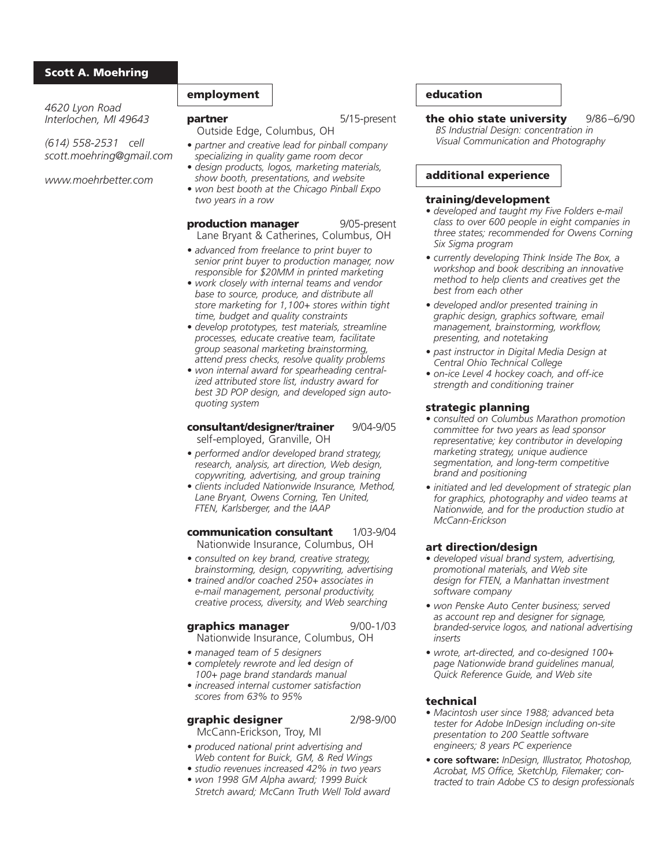### Scott A. Moehring

*4620 Lyon Road Interlochen, MI 49643*

*(614) 558-2531 cell scott.moehring@gmail.com*

*www.moehrbetter.com*

## employment

**partner** 5/15-present

Outside Edge, Columbus, OH

- *partner and creative lead for pinball company specializing in quality game room decor*
- *design products, logos, marketing materials, show booth, presentations, and website*
- *won best booth at the Chicago Pinball Expo two years in a row*

## **production manager** 9/05-present

Lane Bryant & Catherines, Columbus, OH

- *advanced from freelance to print buyer to senior print buyer to production manager, now responsible for \$20MM in printed marketing*
- *work closely with internal teams and vendor base to source, produce, and distribute all store marketing for 1,100+ stores within tight time, budget and quality constraints*
- *develop prototypes, test materials, streamline processes, educate creative team, facilitate group seasonal marketing brainstorming, attend press checks, resolve quality problems*
- *won internal award for spearheading centralized attributed store list, industry award for best 3D POP design, and developed sign autoquoting system*

#### consultant/designer/trainer 9/04-9/05 self-employed, Granville, OH

- *performed and/or developed brand strategy, research, analysis, art direction, Web design, copywriting, advertising, and group training*
- *clients included Nationwide Insurance, Method, Lane Bryant, Owens Corning, Ten United, FTEN, Karlsberger, and the IAAP*
- communication consultant 1/03-9/04 Nationwide Insurance, Columbus, OH
- *consulted on key brand, creative strategy, brainstorming, design, copywriting, advertising*
- *trained and/or coached 250+ associates in e-mail management, personal productivity, creative process, diversity, and Web searching*

### graphics manager 9/00-1/03

- Nationwide Insurance, Columbus, OH
- *managed team of 5 designers*
- *completely rewrote and led design of 100+ page brand standards manual*
- *increased internal customer satisfaction scores from 63% to 95%*

# graphic designer 2/98-9/00

McCann-Erickson, Troy, MI

- *produced national print advertising and Web content for Buick, GM, & Red Wings*
- *studio revenues increased 42% in two years • won 1998 GM Alpha award; 1999 Buick*
- *Stretch award; McCann Truth Well Told award*

# education

the ohio state university 9/86-6/90 *BS Industrial Design: concentration in Visual Communication and Photography*

## additional experience

#### training/development

- *developed and taught my Five Folders e-mail class to over 600 people in eight companies in three states; recommended for Owens Corning Six Sigma program*
- *currently developing Think Inside The Box, a workshop and book describing an innovative method to help clients and creatives get the best from each other*
- *developed and/or presented training in graphic design, graphics software, email management, brainstorming, workflow, presenting, and notetaking*
- *past instructor in Digital Media Design at Central Ohio Technical College*
- *on-ice Level 4 hockey coach, and off-ice strength and conditioning trainer*

## strategic planning

- *consulted on Columbus Marathon promotion committee for two years as lead sponsor representative; key contributor in developing marketing strategy, unique audience segmentation, and long-term competitive brand and positioning*
- *initiated and led development of strategic plan for graphics, photography and video teams at Nationwide, and for the production studio at McCann-Erickson*

### art direction/design

- *developed visual brand system, advertising, promotional materials, and Web site design for FTEN, a Manhattan investment software company*
- *won Penske Auto Center business; served as account rep and designer for signage, branded-service logos, and national advertising inserts*
- *wrote, art-directed, and co-designed 100+ page Nationwide brand guidelines manual, Quick Reference Guide, and Web site*

### technical

- *Macintosh user since 1988; advanced beta tester for Adobe InDesign including on-site presentation to 200 Seattle software engineers; 8 years PC experience*
- **core software:** *InDesign, Illustrator, Photoshop, Acrobat, MS Office, SketchUp, Filemaker; contracted to train Adobe CS to design professionals*